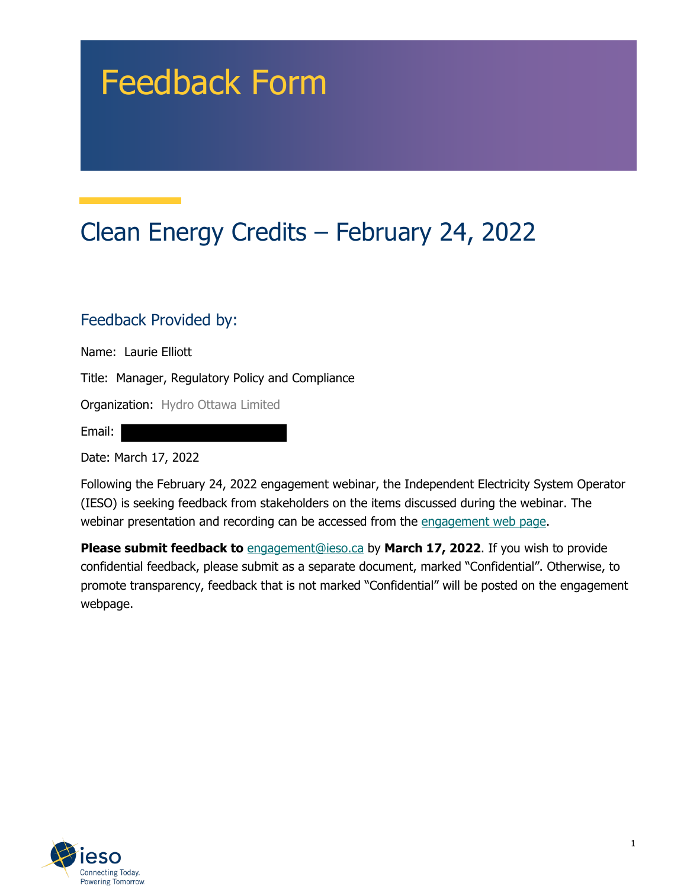# Feedback Form

## Clean Energy Credits – February 24, 2022

#### Feedback Provided by:

Name: Laurie Elliott

Title: Manager, Regulatory Policy and Compliance

Organization: Hydro Ottawa Limited

Email:

Date: March 17, 2022

Following the February 24, 2022 engagement webinar, the Independent Electricity System Operator (IESO) is seeking feedback from stakeholders on the items discussed during the webinar. The webinar presentation and recording can be accessed from the engagement web page.

**Please submit feedback to** engagement@ieso.ca by March 17, 2022. If you wish to provide confidential feedback, please submit as a separate document, marked "Confidential". Otherwise, to promote transparency, feedback that is not marked "Confidential" will be posted on the engagement webpage.

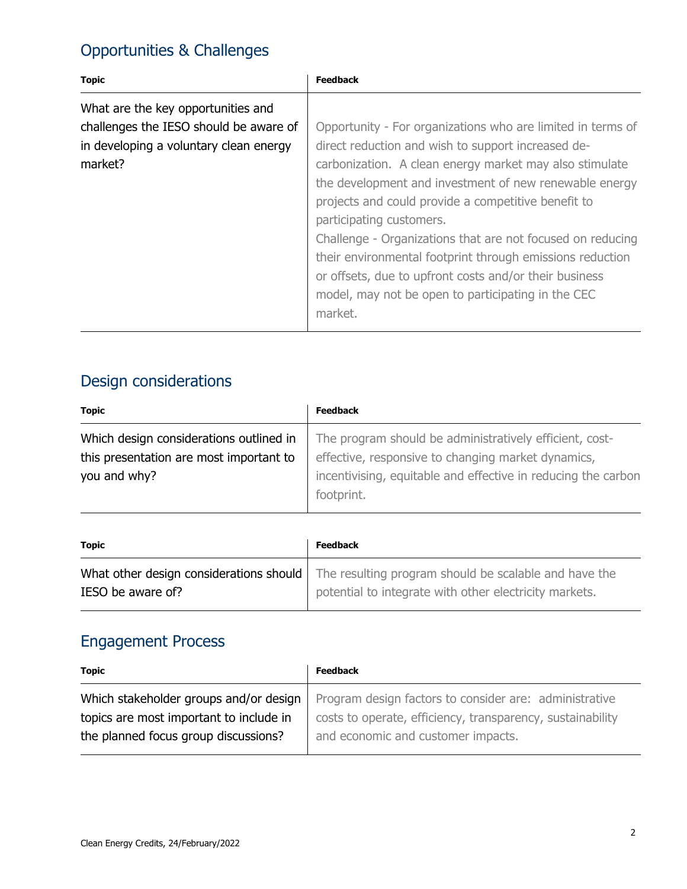#### Opportunities & Challenges

| <b>Topic</b>                                                                                                                      | <b>Feedback</b>                                                                                                                                                                                                                                                                                                                                                                                                                                                                                                                                                                 |
|-----------------------------------------------------------------------------------------------------------------------------------|---------------------------------------------------------------------------------------------------------------------------------------------------------------------------------------------------------------------------------------------------------------------------------------------------------------------------------------------------------------------------------------------------------------------------------------------------------------------------------------------------------------------------------------------------------------------------------|
| What are the key opportunities and<br>challenges the IESO should be aware of<br>in developing a voluntary clean energy<br>market? | Opportunity - For organizations who are limited in terms of<br>direct reduction and wish to support increased de-<br>carbonization. A clean energy market may also stimulate<br>the development and investment of new renewable energy<br>projects and could provide a competitive benefit to<br>participating customers.<br>Challenge - Organizations that are not focused on reducing<br>their environmental footprint through emissions reduction<br>or offsets, due to upfront costs and/or their business<br>model, may not be open to participating in the CEC<br>market. |

### Design considerations

| <b>Topic</b>                            | <b>Feedback</b>                                               |
|-----------------------------------------|---------------------------------------------------------------|
| Which design considerations outlined in | The program should be administratively efficient, cost-       |
| this presentation are most important to | effective, responsive to changing market dynamics,            |
| you and why?                            | incentivising, equitable and effective in reducing the carbon |
|                                         | footprint.                                                    |

| <b>Topic</b>      | <b>Feedback</b>                                                                                                                                           |
|-------------------|-----------------------------------------------------------------------------------------------------------------------------------------------------------|
| IESO be aware of? | What other design considerations should   The resulting program should be scalable and have the<br>potential to integrate with other electricity markets. |

#### Engagement Process

| <b>Topic</b>                            | <b>Feedback</b>                                            |
|-----------------------------------------|------------------------------------------------------------|
| Which stakeholder groups and/or design  | Program design factors to consider are: administrative     |
| topics are most important to include in | costs to operate, efficiency, transparency, sustainability |
| the planned focus group discussions?    | and economic and customer impacts.                         |